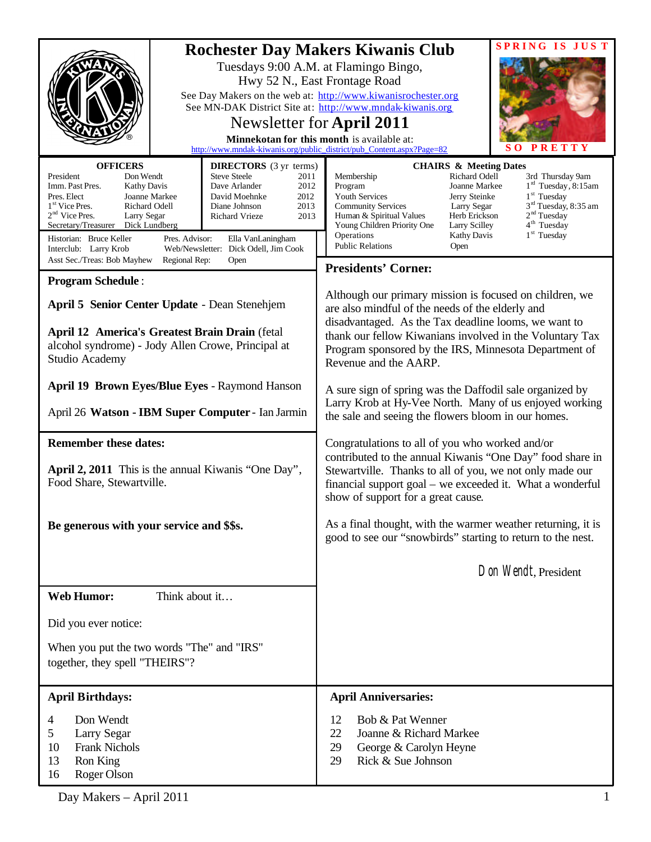|                                                                                                                                                                                                                                                                                                                                                                                                                                                                                                                                                             | <b>SPRING IS JUST</b><br><b>Rochester Day Makers Kiwanis Club</b>                                                                                                                                                                                                                                                                                                                                                                                                                                                        |  |
|-------------------------------------------------------------------------------------------------------------------------------------------------------------------------------------------------------------------------------------------------------------------------------------------------------------------------------------------------------------------------------------------------------------------------------------------------------------------------------------------------------------------------------------------------------------|--------------------------------------------------------------------------------------------------------------------------------------------------------------------------------------------------------------------------------------------------------------------------------------------------------------------------------------------------------------------------------------------------------------------------------------------------------------------------------------------------------------------------|--|
| Tuesdays 9:00 A.M. at Flamingo Bingo,<br>Hwy 52 N., East Frontage Road                                                                                                                                                                                                                                                                                                                                                                                                                                                                                      |                                                                                                                                                                                                                                                                                                                                                                                                                                                                                                                          |  |
| See Day Makers on the web at: http://www.kiwanisrochester.org<br>See MN-DAK District Site at: http://www.mndak-kiwanis.org                                                                                                                                                                                                                                                                                                                                                                                                                                  |                                                                                                                                                                                                                                                                                                                                                                                                                                                                                                                          |  |
| Newsletter for April 2011<br>Minnekotan for this month is available at:                                                                                                                                                                                                                                                                                                                                                                                                                                                                                     |                                                                                                                                                                                                                                                                                                                                                                                                                                                                                                                          |  |
| PRETTY<br>http://www.mndak-kiwanis.org/public_district/pub_Content.aspx?Page=82                                                                                                                                                                                                                                                                                                                                                                                                                                                                             |                                                                                                                                                                                                                                                                                                                                                                                                                                                                                                                          |  |
| <b>OFFICERS</b><br><b>DIRECTORS</b> (3 yr terms)<br>President<br>Don Wendt<br><b>Steve Steele</b><br>2011<br>Imm. Past Pres.<br>Dave Arlander<br>2012<br><b>Kathy Davis</b><br>Pres. Elect<br>Joanne Markee<br>David Moehnke<br>2012<br>1 <sup>st</sup> Vice Pres.<br>Richard Odell<br>2013<br>Diane Johnson<br>$2nd$ Vice Pres.<br>Larry Segar<br><b>Richard Vrieze</b><br>2013<br>Secretary/Treasurer<br>Dick Lundberg<br>Historian: Bruce Keller<br>Pres. Advisor:<br>Ella VanLaningham<br>Interclub: Larry Krob<br>Web/Newsletter: Dick Odell, Jim Cook | <b>CHAIRS &amp; Meeting Dates</b><br>Membership<br>Richard Odell<br>3rd Thursday 9am<br>$1rd$ Tuesday, 8:15am<br>Joanne Markee<br>Program<br>$1st$ Tuesday<br>Youth Services<br>Jerry Steinke<br>3 <sup>rd</sup> Tuesday, 8:35 am<br><b>Community Services</b><br>Larry Segar<br>2 <sup>nd</sup> Tuesday<br>Human & Spiritual Values<br>Herb Erickson<br>4 <sup>th</sup> Tuesday<br>Young Children Priority One<br>Larry Scilley<br>$1st$ Tuesday<br>Operations<br><b>Kathy Davis</b><br><b>Public Relations</b><br>Open |  |
| Asst Sec./Treas: Bob Mayhew<br>Regional Rep:<br>Open                                                                                                                                                                                                                                                                                                                                                                                                                                                                                                        | <b>Presidents' Corner:</b>                                                                                                                                                                                                                                                                                                                                                                                                                                                                                               |  |
| <b>Program Schedule:</b>                                                                                                                                                                                                                                                                                                                                                                                                                                                                                                                                    | Although our primary mission is focused on children, we                                                                                                                                                                                                                                                                                                                                                                                                                                                                  |  |
| April 5 Senior Center Update - Dean Stenehjem<br>are also mindful of the needs of the elderly and                                                                                                                                                                                                                                                                                                                                                                                                                                                           |                                                                                                                                                                                                                                                                                                                                                                                                                                                                                                                          |  |
| <b>April 12 America's Greatest Brain Drain (fetal)</b><br>alcohol syndrome) - Jody Allen Crowe, Principal at<br>Studio Academy                                                                                                                                                                                                                                                                                                                                                                                                                              | disadvantaged. As the Tax deadline looms, we want to<br>thank our fellow Kiwanians involved in the Voluntary Tax<br>Program sponsored by the IRS, Minnesota Department of<br>Revenue and the AARP.                                                                                                                                                                                                                                                                                                                       |  |
| <b>April 19 Brown Eyes/Blue Eyes - Raymond Hanson</b>                                                                                                                                                                                                                                                                                                                                                                                                                                                                                                       | A sure sign of spring was the Daffodil sale organized by                                                                                                                                                                                                                                                                                                                                                                                                                                                                 |  |
| April 26 Watson - IBM Super Computer - Ian Jarmin                                                                                                                                                                                                                                                                                                                                                                                                                                                                                                           | Larry Krob at Hy-Vee North. Many of us enjoyed working<br>the sale and seeing the flowers bloom in our homes.                                                                                                                                                                                                                                                                                                                                                                                                            |  |
| <b>Remember these dates:</b>                                                                                                                                                                                                                                                                                                                                                                                                                                                                                                                                | Congratulations to all of you who worked and/or                                                                                                                                                                                                                                                                                                                                                                                                                                                                          |  |
| April 2, 2011 This is the annual Kiwanis "One Day",<br>Food Share, Stewartville.                                                                                                                                                                                                                                                                                                                                                                                                                                                                            | contributed to the annual Kiwanis "One Day" food share in<br>Stewartville. Thanks to all of you, we not only made our<br>financial support goal – we exceeded it. What a wonderful<br>show of support for a great cause.                                                                                                                                                                                                                                                                                                 |  |
| Be generous with your service and \$\$s.                                                                                                                                                                                                                                                                                                                                                                                                                                                                                                                    | As a final thought, with the warmer weather returning, it is<br>good to see our "snowbirds" starting to return to the nest.                                                                                                                                                                                                                                                                                                                                                                                              |  |
|                                                                                                                                                                                                                                                                                                                                                                                                                                                                                                                                                             | Don Wendt, President                                                                                                                                                                                                                                                                                                                                                                                                                                                                                                     |  |
| <b>Web Humor:</b><br>Think about it                                                                                                                                                                                                                                                                                                                                                                                                                                                                                                                         |                                                                                                                                                                                                                                                                                                                                                                                                                                                                                                                          |  |
| Did you ever notice:                                                                                                                                                                                                                                                                                                                                                                                                                                                                                                                                        |                                                                                                                                                                                                                                                                                                                                                                                                                                                                                                                          |  |
| When you put the two words "The" and "IRS"<br>together, they spell "THEIRS"?                                                                                                                                                                                                                                                                                                                                                                                                                                                                                |                                                                                                                                                                                                                                                                                                                                                                                                                                                                                                                          |  |
| <b>April Birthdays:</b>                                                                                                                                                                                                                                                                                                                                                                                                                                                                                                                                     | <b>April Anniversaries:</b>                                                                                                                                                                                                                                                                                                                                                                                                                                                                                              |  |
| Don Wendt<br>4<br>5<br>Larry Segar<br><b>Frank Nichols</b><br>10<br>13<br>Ron King<br>Roger Olson<br>16                                                                                                                                                                                                                                                                                                                                                                                                                                                     | Bob & Pat Wenner<br>12<br>22<br>Joanne & Richard Markee<br>29<br>George & Carolyn Heyne<br>29<br>Rick & Sue Johnson                                                                                                                                                                                                                                                                                                                                                                                                      |  |

Day Makers – April 2011 1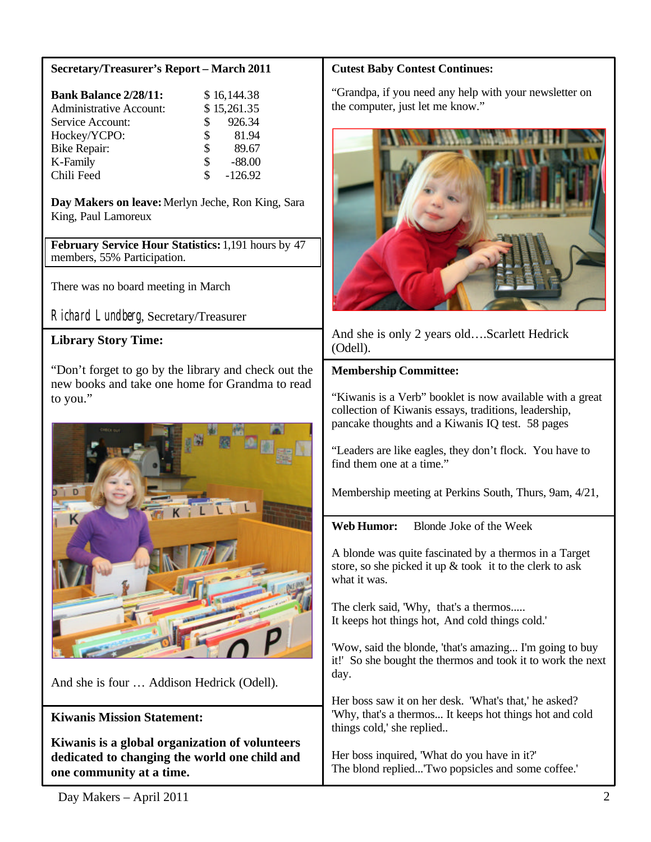## **Secretary/Treasurer's Report – March 2011**

| <b>Bank Balance 2/28/11:</b>   |                | \$16,144.38 |
|--------------------------------|----------------|-------------|
| <b>Administrative Account:</b> |                | \$15,261.35 |
| Service Account:               | $\mathbb{S}^-$ | 926.34      |
| Hockey/YCPO:                   | $\mathbb{S}^-$ | 81.94       |
| Bike Repair:                   | \$             | 89.67       |
| K-Family                       | \$             | $-88.00$    |
| Chili Feed                     | S              | $-126.92$   |

**Day Makers on leave:**Merlyn Jeche, Ron King, Sara King, Paul Lamoreux

**February Service Hour Statistics:** 1,191 hours by 47 members, 55% Participation.

There was no board meeting in March

Richard Lundberg, Secretary/Treasurer

# **Library Story Time:**

"Don't forget to go by the library and check out the new books and take one home for Grandma to read to you."



And she is four … Addison Hedrick (Odell).

# **Kiwanis Mission Statement:**

**Kiwanis is a global organization of volunteers dedicated to changing the world one child and one community at a time.**

## **Cutest Baby Contest Continues:**

"Grandpa, if you need any help with your newsletter on the computer, just let me know."



And she is only 2 years old….Scarlett Hedrick (Odell).

## **Membership Committee:**

"Kiwanis is a Verb" booklet is now available with a great collection of Kiwanis essays, traditions, leadership, pancake thoughts and a Kiwanis IQ test. 58 pages

"Leaders are like eagles, they don't flock. You have to find them one at a time."

Membership meeting at Perkins South, Thurs, 9am, 4/21,

**Web Humor:** Blonde Joke of the Week

A blonde was quite fascinated by a thermos in a Target store, so she picked it up & took it to the clerk to ask what it was.

The clerk said, 'Why, that's a thermos..... It keeps hot things hot, And cold things cold.'

'Wow, said the blonde, 'that's amazing... I'm going to buy it!' So she bought the thermos and took it to work the next day.

Her boss saw it on her desk. 'What's that,' he asked? 'Why, that's a thermos... It keeps hot things hot and cold things cold,' she replied..

Her boss inquired, 'What do you have in it?' The blond replied...'Two popsicles and some coffee.'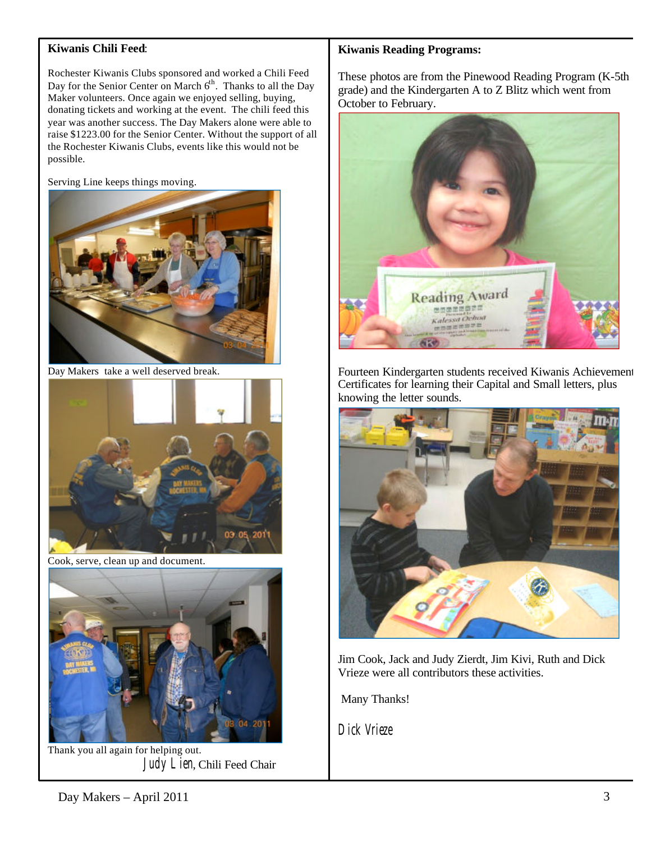### **Kiwanis Chili Feed**:

Rochester Kiwanis Clubs sponsored and worked a Chili Feed Day for the Senior Center on March 6<sup>th</sup>. Thanks to all the Day Maker volunteers. Once again we enjoyed selling, buying, donating tickets and working at the event. The chili feed this year was another success. The Day Makers alone were able to raise \$1223.00 for the Senior Center. Without the support of all the Rochester Kiwanis Clubs, events like this would not be possible.

Serving Line keeps things moving.



Day Makers take a well deserved break.



Cook, serve, clean up and document.



Thank you all again for helping out. Judy Lien, Chili Feed Chair

#### **Kiwanis Reading Programs:**

These photos are from the Pinewood Reading Program (K-5th grade) and the Kindergarten A to Z Blitz which went from October to February.



Fourteen Kindergarten students received Kiwanis Achievement Certificates for learning their Capital and Small letters, plus knowing the letter sounds.



Jim Cook, Jack and Judy Zierdt, Jim Kivi, Ruth and Dick Vrieze were all contributors these activities.

Many Thanks!

Dick Vrieze